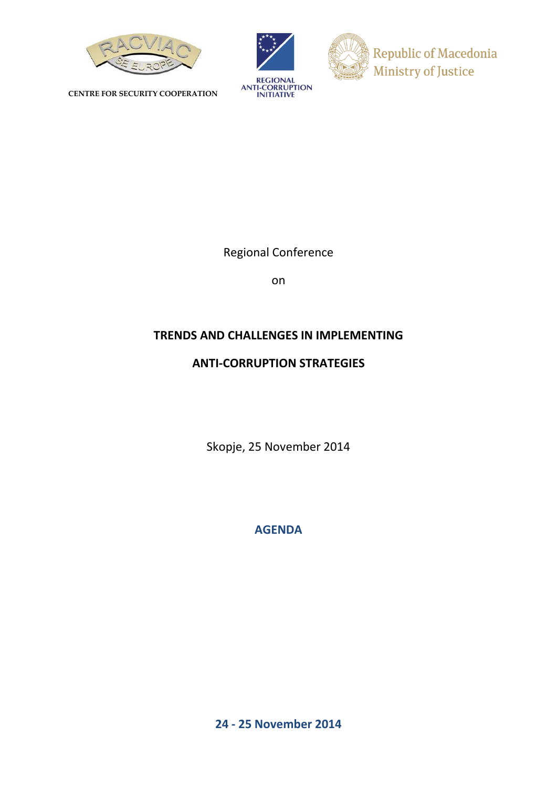

**CENTRE FOR SECURITY COOPERATION**





Regional Conference

on

# **TRENDS AND CHALLENGES IN IMPLEMENTING**

## **ANTI-CORRUPTION STRATEGIES**

Skopje, 25 November 2014

**AGENDA**

**24 - 25 November 2014**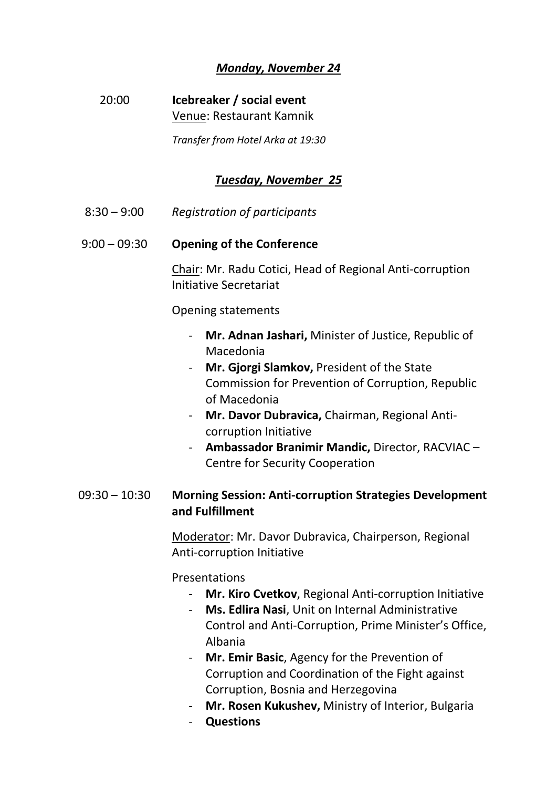# *Monday, November 24*

# 20:00 **Icebreaker / social event** Venue: Restaurant Kamnik

*Transfer from Hotel Arka at 19:30*

## *Tuesday, November 25*

8:30 – 9:00 *Registration of participants*

#### 9:00 – 09:30 **Opening of the Conference**

Chair: Mr. Radu Cotici, Head of Regional Anti-corruption Initiative Secretariat

Opening statements

- **Mr. Adnan Jashari,** Minister of Justice, Republic of Macedonia
- **Mr. Gjorgi Slamkov,** President of the State Commission for Prevention of Corruption, Republic of Macedonia
- **Mr. Davor Dubravica,** Chairman, Regional Anticorruption Initiative
- **Ambassador Branimir Mandic,** Director, RACVIAC Centre for Security Cooperation

## 09:30 – 10:30 **Morning Session: Anti-corruption Strategies Development and Fulfillment**

Moderator: Mr. Davor Dubravica, Chairperson, Regional Anti-corruption Initiative

Presentations

- **Mr. Kiro Cvetkov**, Regional Anti-corruption Initiative
- **Ms. Edlira Nasi**, Unit on Internal Administrative Control and Anti-Corruption, Prime Minister's Office, Albania
- **Mr. Emir Basic**, Agency for the Prevention of Corruption and Coordination of the Fight against Corruption, Bosnia and Herzegovina
- **Mr. Rosen Kukushev,** Ministry of Interior, Bulgaria
- **Questions**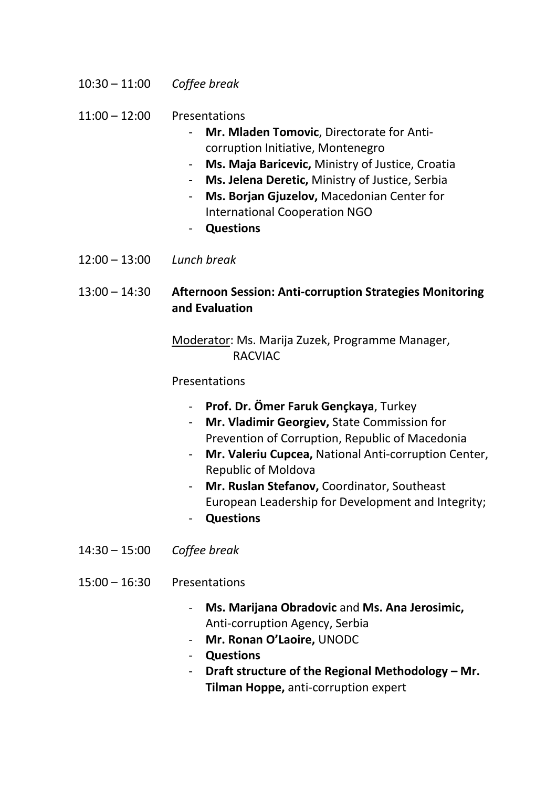10:30 – 11:00 *Coffee break*

11:00 – 12:00 Presentations

- **Mr. Mladen Tomovic**, Directorate for Anticorruption Initiative, Montenegro
- **Ms. Maja Baricevic,** Ministry of Justice, Croatia
- **Ms. Jelena Deretic,** Ministry of Justice, Serbia
- **Ms. Borjan Gjuzelov,** Macedonian Center for International Cooperation NGO
- **Questions**
- 12:00 13:00 *Lunch break*

13:00 – 14:30 **Afternoon Session: Anti-corruption Strategies Monitoring and Evaluation**

> Moderator: Ms. Marija Zuzek, Programme Manager, RACVIAC

## Presentations

- **Prof. Dr. Ömer Faruk Gençkaya**, Turkey
- **Mr. Vladimir Georgiev,** State Commission for Prevention of Corruption, Republic of Macedonia
- **Mr. Valeriu Cupcea,** National Anti-corruption Center, Republic of Moldova
- **Mr. Ruslan Stefanov,** Coordinator, Southeast European Leadership for Development and Integrity;
- **Questions**
- 14:30 15:00 *Coffee break*
- 15:00 16:30 Presentations
	- **Ms. Marijana Obradovic** and **Ms. Ana Jerosimic,**  Anti-corruption Agency, Serbia
	- **Mr. Ronan O'Laoire,** UNODC
	- **Questions**
	- **Draft structure of the Regional Methodology – Mr. Tilman Hoppe,** anti-corruption expert